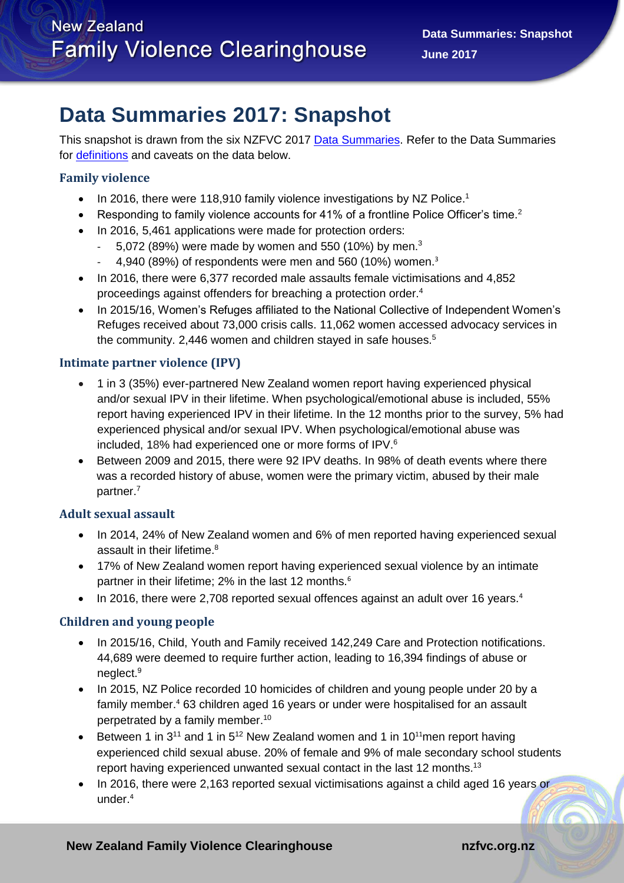# **Data Summaries 2017: Snapshot**

This snapshot is drawn from the six NZFVC 2017 [Data Summaries.](https://nzfvc.org.nz/data-summaries) Refer to the Data Summaries for [definitions](https://nzfvc.org.nz/data-summaries) and caveats on the data below.

## **Family violence**

- $\bullet$  In 2016, there were 118,910 family violence investigations by NZ Police.<sup>1</sup>
- Responding to family violence accounts for 41% of a frontline Police Officer's time.<sup>2</sup>
- <span id="page-0-0"></span>• In 2016, 5,461 applications were made for protection orders:
	- $-$  5,072 (89%) were made by women and 550 (10%) by men.<sup>3</sup>
	- 4,940 (89%) of respondents were men and 560 (10%) women[.](#page-0-0)<sup>3</sup>
- In 2016, there were 6,377 recorded male assaults female victimisations and 4,852 proceedings against offenders for breaching a protection order.<sup>4</sup>
- <span id="page-0-2"></span>• In 2015/16, Women's Refuges affiliated to the National Collective of Independent Women's Refuges received about 73,000 crisis calls. 11,062 women accessed advocacy services in the community. 2,446 women and children stayed in safe houses.<sup>5</sup>

### **Intimate partner violence (IPV)**

- 1 in 3 (35%) ever-partnered New Zealand women report having experienced physical and/or sexual IPV in their lifetime. When psychological/emotional abuse is included, 55% report having experienced IPV in their lifetime. In the 12 months prior to the survey, 5% had experienced physical and/or sexual IPV. When psychological/emotional abuse was included, 18% had experienced one or more forms of IPV.<sup>6</sup>
- <span id="page-0-1"></span> Between 2009 and 2015, there were 92 IPV deaths. In 98% of death events where there was a recorded history of abuse, women were the primary victim, abused by their male partner.<sup>7</sup>

### **Adult sexual assault**

- In 2014, 24% of New Zealand women and 6% of men reported having experienced sexual assault in their lifetime. 8
- 17% of New Zealand women report having experienced sexual violence by an intimate partner in their lifetime; 2% in the last 12 months.<sup>[6](#page-0-1)</sup>
- In 2016, there were 2,708 reported sexual offences against an adult over 16 years.<sup>[4](#page-0-2)</sup>

### **Children and young people**

- In 2015/16, Child, Youth and Family received 142,249 Care and Protection notifications. 44,689 were deemed to require further action, leading to 16,394 findings of abuse or neglect.<sup>9</sup>
- In 2015, NZ Police recorded 10 homicides of children and young people under 20 by a family member. [4](#page-0-2) 63 children aged 16 years or under were hospitalised for an assault perpetrated by a family member. 10
- <span id="page-0-3"></span>**•** Between 1 in 3<sup>[11](#page-0-3)</sup> and 1 in 5<sup>12</sup> New Zealand women and 1 in 10<sup>11</sup>men report having experienced child sexual abuse. 20% of female and 9% of male secondary school students report having experienced unwanted sexual contact in the last 12 months.<sup>13</sup>
- In 2016, there were 2,163 reported sexual victimisations against a child aged 16 years or under. [4](#page-0-2)